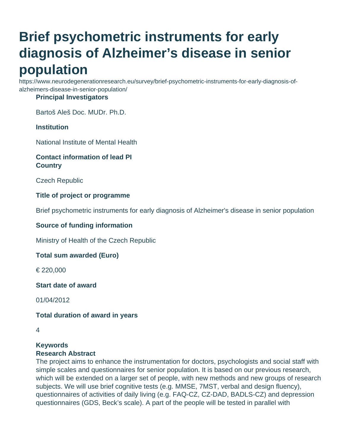# **Brief psychometric instruments for early diagnosis of Alzheimer's disease in senior population**

https://www.neurodegenerationresearch.eu/survey/brief-psychometric-instruments-for-early-diagnosis-ofalzheimers-disease-in-senior-population/

#### **Principal Investigators**

Bartoš Aleš Doc. MUDr. Ph.D.

# **Institution**

National Institute of Mental Health

### **Contact information of lead PI Country**

Czech Republic

#### **Title of project or programme**

Brief psychometric instruments for early diagnosis of Alzheimer's disease in senior population

#### **Source of funding information**

Ministry of Health of the Czech Republic

#### **Total sum awarded (Euro)**

€ 220,000

#### **Start date of award**

01/04/2012

#### **Total duration of award in years**

#### **Keywords Research Abstract**

The project aims to enhance the instrumentation for doctors, psychologists and social staff with simple scales and questionnaires for senior population. It is based on our previous research, which will be extended on a larger set of people, with new methods and new groups of research subjects. We will use brief cognitive tests (e.g. MMSE, 7MST, verbal and design fluency), questionnaires of activities of daily living (e.g. FAQ-CZ, CZ-DAD, BADLS-CZ) and depression questionnaires (GDS, Beck's scale). A part of the people will be tested in parallel with

<sup>4</sup>